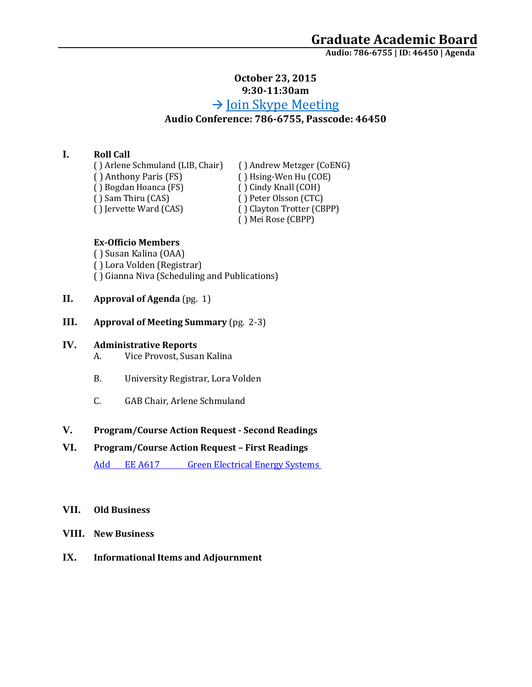### **October 23, 2015 9:30-11:30am**

# $\rightarrow$  [Join Skype Meeting](https://meet.uaa.alaska.edu/kswiante/MW72P2S1) **Audio Conference: 786-6755, Passcode: 46450**

### **I. Roll Call**

( ) Arlene Schmuland (LIB, Chair) ( ) Andrew Metzger (CoENG)<br>( ) Anthony Paris (FS) ( ) Hsing-Wen Hu (COE) ( ) Bogdan Hoanca (FS)<br>( ) Sam Thiru (CAS) ( ) Sam Thiru (CAS) ( ) Peter Olsson (CTC)<br>( ) lervette Ward (CAS) ( ) Clayton Trotter (CB

( ) Hsing-Wen Hu (COE)<br>( ) Cindy Knall (COH) ( ) Clayton Trotter (CBPP) ( ) Mei Rose (CBPP)

### **Ex-Officio Members**

( ) Susan Kalina (OAA) ( ) Lora Volden (Registrar) ( ) Gianna Niva (Scheduling and Publications)

- **II. Approval of Agenda** (pg. 1)
- **III. Approval of Meeting Summary** (pg. 2-3)

#### **IV. Administrative Reports**

- A. Vice Provost, Susan Kalina
- B. University Registrar, Lora Volden
- C. GAB Chair, Arlene Schmuland

### **V. Program/Course Action Request - Second Readings**

## **VI. Program/Course Action Request – First Readings**

Add EE A617 Green Electrical Energy Systems

#### **VII. Old Business**

- **VIII. New Business**
- **IX. Informational Items and Adjournment**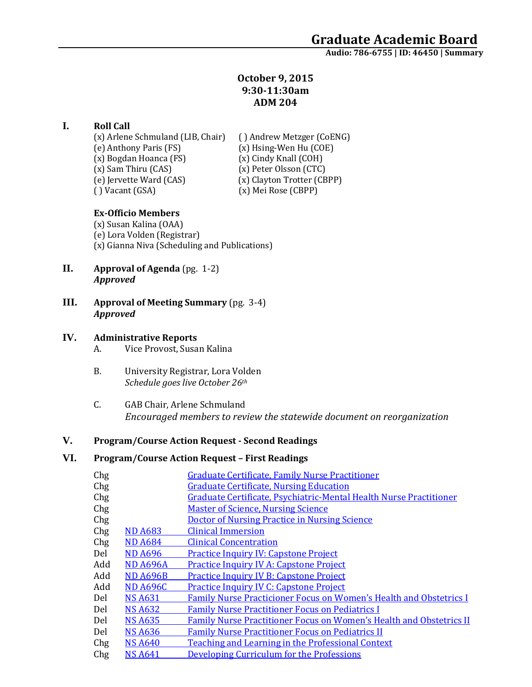### **October 9, 2015 9:30-11:30am ADM 204**

### **I. Roll Call**

(x) Arlene Schmuland (LIB, Chair) ( ) Andrew Metzger (CoENG)<br>(e) Anthony Paris (FS) (x) Hsing-Wen Hu (COE) (x) Bogdan Hoanca (FS)<br>(x) Sam Thiru (CAS) (e) Jervette Ward (CAS)<br>() Vacant (GSA)

(x) Hsing-Wen Hu (COE)<br>(x) Cindy Knall (COH) (x) Peter Olsson (CTC)<br>(x) Clayton Trotter (CBPP) (x) Mei Rose (CBPP)

### **Ex-Officio Members**

(x) Susan Kalina (OAA) (e) Lora Volden (Registrar) (x) Gianna Niva (Scheduling and Publications)

- **II. Approval of Agenda** (pg. 1-2) *Approved*
- **III. Approval of Meeting Summary** (pg. 3-4) *Approved*

### **IV. Administrative Reports**

A. Vice Provost, Susan Kalina

- B. University Registrar, Lora Volden *Schedule goes live October 26th*
- C. GAB Chair, Arlene Schmuland *Encouraged members to review the statewide document on reorganization*

### **V. Program/Course Action Request - Second Readings**

### **VI. Program/Course Action Request – First Readings**

| Chg |                 | <b>Graduate Certificate, Family Nurse Practitioner</b>                    |
|-----|-----------------|---------------------------------------------------------------------------|
| Chg |                 | <b>Graduate Certificate, Nursing Education</b>                            |
| Chg |                 | Graduate Certificate, Psychiatric-Mental Health Nurse Practitioner        |
| Chg |                 | <b>Master of Science, Nursing Science</b>                                 |
| Chg |                 | <b>Doctor of Nursing Practice in Nursing Science</b>                      |
| Chg | <b>ND A683</b>  | <b>Clinical Immersion</b>                                                 |
| Chg | <b>ND A684</b>  | <b>Clinical Concentration</b>                                             |
| Del | <b>ND A696</b>  | <b>Practice Inquiry IV: Capstone Project</b>                              |
| Add | <b>ND A696A</b> | <b>Practice Inquiry IV A: Capstone Project</b>                            |
| Add | <b>ND A696B</b> | <b>Practice Inquiry IV B: Capstone Project</b>                            |
| Add | <b>ND A696C</b> | <b>Practice Inquiry IV C: Capstone Project</b>                            |
| Del | <b>NS A631</b>  | <b>Family Nurse Practicioner Focus on Women's Health and Obstetrics I</b> |
| Del | <b>NS A632</b>  | <b>Family Nurse Practitioner Focus on Pediatrics I</b>                    |
| Del | <b>NS A635</b>  | Family Nurse Practitioner Focus on Women's Health and Obstetrics II       |
| Del | <b>NS A636</b>  | <b>Family Nurse Practitioner Focus on Pediatrics II</b>                   |
| Chg | <b>NS A640</b>  | Teaching and Learning in the Professional Context                         |
| Chg | <b>NS A641</b>  | Developing Curriculum for the Professions                                 |
|     |                 |                                                                           |